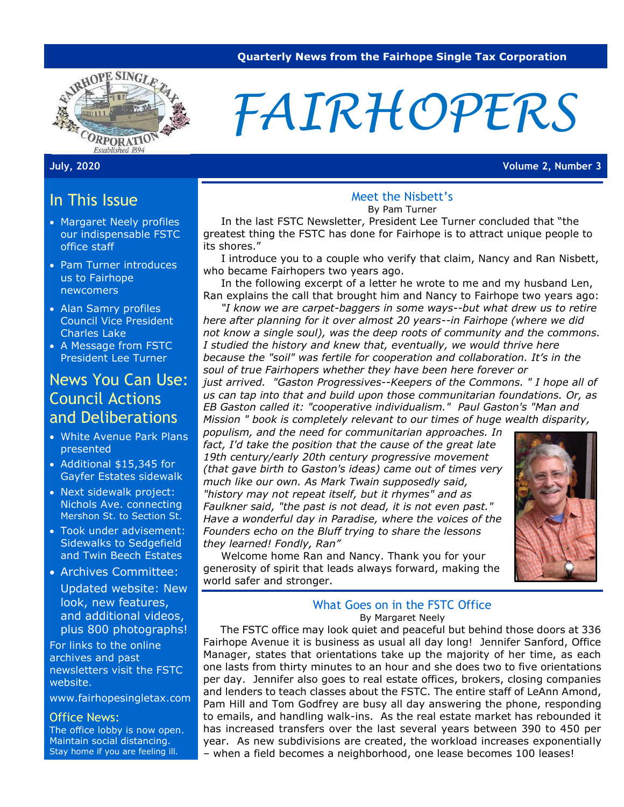

# *FAIRHOPERS*

**July, 2020 Volume 2, Number 3**

## In This Issue

- Margaret Neely profiles our indispensable FSTC office staff
- Pam Turner introduces us to Fairhope newcomers
- Alan Samry profiles Council Vice President Charles Lake
- A Message from FSTC President Lee Turner

### News You Can Use: Council Actions and Deliberations

- White Avenue Park Plans presented
- Additional \$15,345 for Gayfer Estates sidewalk
- Next sidewalk project: Nichols Ave. connecting Mershon St. to Section St.
- Took under advisement: Sidewalks to Sedgefield and Twin Beech Estates
- Archives Committee: Updated website: New look, new features, and additional videos, plus 800 photographs!

For links to the online archives and past newsletters visit the FSTC website.

[www.fairhopesingletax.com](http://www.fairhopesingletax.com/)

#### Office News:

The office lobby is now open. Maintain social distancing. Stay home if you are feeling ill.

#### Meet the Nisbett's

By Pam Turner

 In the last FSTC Newsletter, President Lee Turner concluded that "the greatest thing the FSTC has done for Fairhope is to attract unique people to its shores."

 I introduce you to a couple who verify that claim, Nancy and Ran Nisbett, who became Fairhopers two years ago.

 In the following excerpt of a letter he wrote to me and my husband Len, Ran explains the call that brought him and Nancy to Fairhope two years ago:

 *"I know we are carpet-baggers in some ways--but what drew us to retire here after planning for it over almost 20 years--in Fairhope (where we did not know a single soul), was the deep roots of community and the commons. I studied the history and knew that, eventually, we would thrive here because the "soil" was fertile for cooperation and collaboration. It's in the soul of true Fairhopers whether they have been here forever or* 

*just arrived. "Gaston Progressives--Keepers of the Commons. " I hope all of us can tap into that and build upon those communitarian foundations. Or, as EB Gaston called it: "cooperative individualism." Paul Gaston's "Man and Mission " book is completely relevant to our times of huge wealth disparity,* 

*populism, and the need for communitarian approaches. In fact, I'd take the position that the cause of the great late 19th century/early 20th century progressive movement (that gave birth to Gaston's ideas) came out of times very much like our own. As Mark Twain supposedly said, "history may not repeat itself, but it rhymes" and as Faulkner said, "the past is not dead, it is not even past." Have a wonderful day in Paradise, where the voices of the Founders echo on the Bluff trying to share the lessons they learned! Fondly, Ran"*

 Welcome home Ran and Nancy. Thank you for your generosity of spirit that leads always forward, making the world safer and stronger.

#### What Goes on in the FSTC Office By Margaret Neely

 The FSTC office may look quiet and peaceful but behind those doors at 336 Fairhope Avenue it is business as usual all day long! Jennifer Sanford, Office Manager, states that orientations take up the majority of her time, as each one lasts from thirty minutes to an hour and she does two to five orientations per day. Jennifer also goes to real estate offices, brokers, closing companies and lenders to teach classes about the FSTC. The entire staff of LeAnn Amond, Pam Hill and Tom Godfrey are busy all day answering the phone, responding to emails, and handling walk-ins. As the real estate market has rebounded it has increased transfers over the last several years between 390 to 450 per year. As new subdivisions are created, the workload increases exponentially – when a field becomes a neighborhood, one lease becomes 100 leases!